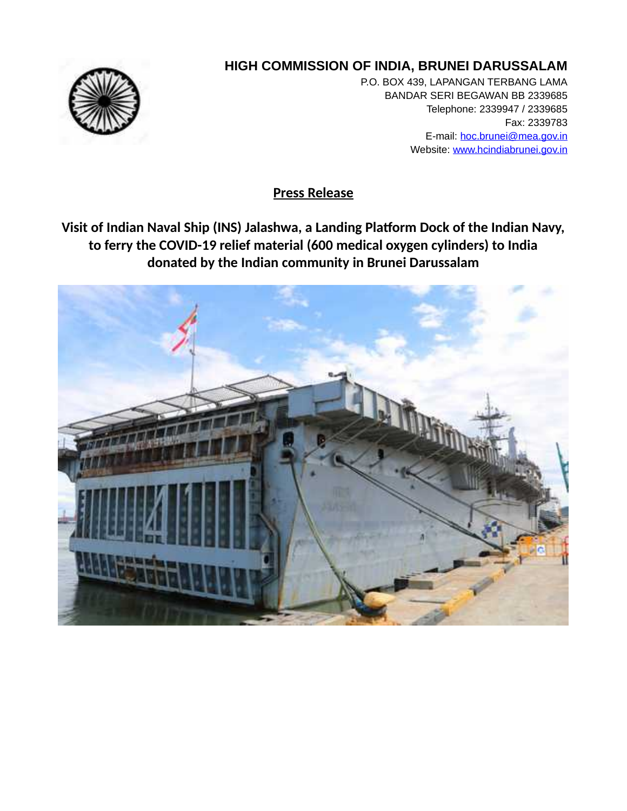## **HIGH COMMISSION OF INDIA, BRUNEI DARUSSALAM**

P.O. BOX 439, LAPANGAN TERBANG LAMA BANDAR SERI BEGAWAN BB 2339685 Telephone: 2339947 / 2339685 Fax: 2339783 E-mail: hoc.brunei@mea.gov.in Website: www.hcindiabrunei.gov.in

**Press Release**

**Visit of Indian Naval Ship (INS) Jalashwa, a Landing Platform Dock of the Indian Navy, to ferry the COVID-19 relief material (600 medical oxygen cylinders) to India donated by the Indian community in Brunei Darussalam** 

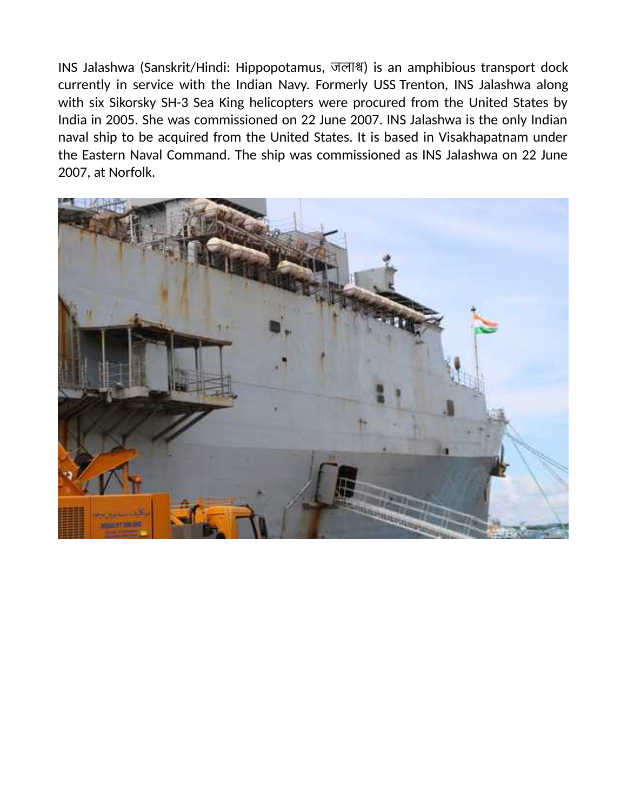INS Jalashwa (Sanskrit/Hindi: Hippopotamus, जलाश्व) is an amphibious transport dock currently in service with the Indian Navy. Formerly USS Trenton, INS Jalashwa along with six Sikorsky SH-3 Sea King helicopters were procured from the United States by India in 2005. She was commissioned on 22 June 2007. INS Jalashwa is the only Indian naval ship to be acquired from the United States. It is based in Visakhapatnam under the Eastern Naval Command. The ship was commissioned as INS Jalashwa on 22 June 2007, at Norfolk.

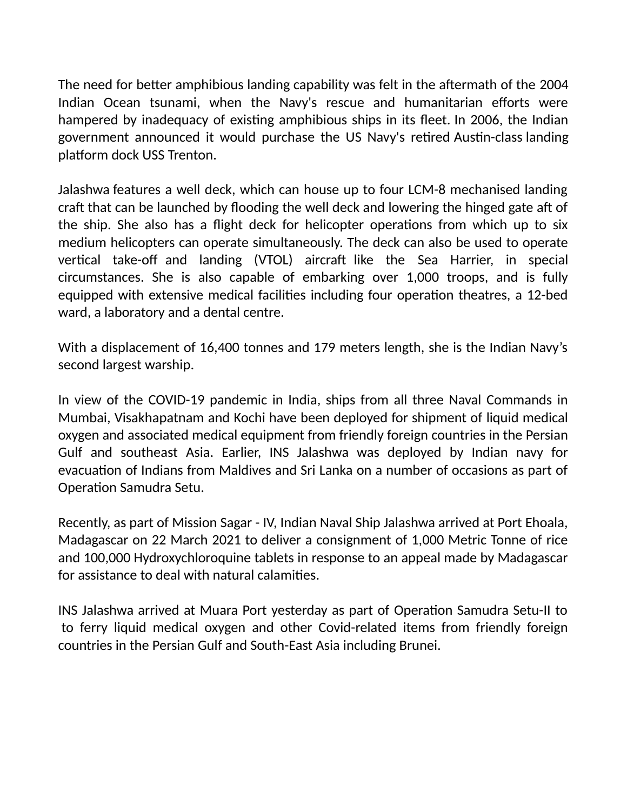The need for better amphibious landing capability was felt in the aftermath of the 2004 Indian Ocean tsunami, when the Navy's rescue and humanitarian efforts were hampered by inadequacy of existing amphibious ships in its fleet. In 2006, the Indian government announced it would purchase the US Navy's retired Austin-class landing platform dock USS Trenton.

Jalashwa features a well deck, which can house up to four LCM-8 mechanised landing craft that can be launched by flooding the well deck and lowering the hinged gate aft of the ship. She also has a flight deck for helicopter operations from which up to six medium helicopters can operate simultaneously. The deck can also be used to operate vertical take-off and landing (VTOL) aircraft like the Sea Harrier, in special circumstances. She is also capable of embarking over 1,000 troops, and is fully equipped with extensive medical facilities including four operation theatres, a 12-bed ward, a laboratory and a dental centre.

With a displacement of 16,400 tonnes and 179 meters length, she is the Indian Navy's second largest warship.

In view of the COVID-19 pandemic in India, ships from all three Naval Commands in Mumbai, Visakhapatnam and Kochi have been deployed for shipment of liquid medical oxygen and associated medical equipment from friendly foreign countries in the Persian Gulf and southeast Asia. Earlier, INS Jalashwa was deployed by Indian navy for evacuation of Indians from Maldives and Sri Lanka on a number of occasions as part of Operation Samudra Setu.

Recently, as part of Mission Sagar - IV, Indian Naval Ship Jalashwa arrived at Port Ehoala, Madagascar on 22 March 2021 to deliver a consignment of 1,000 Metric Tonne of rice and 100,000 Hydroxychloroquine tablets in response to an appeal made by Madagascar for assistance to deal with natural calamities.

INS Jalashwa arrived at Muara Port yesterday as part of Operation Samudra Setu-II to to ferry liquid medical oxygen and other Covid-related items from friendly foreign countries in the Persian Gulf and South-East Asia including Brunei.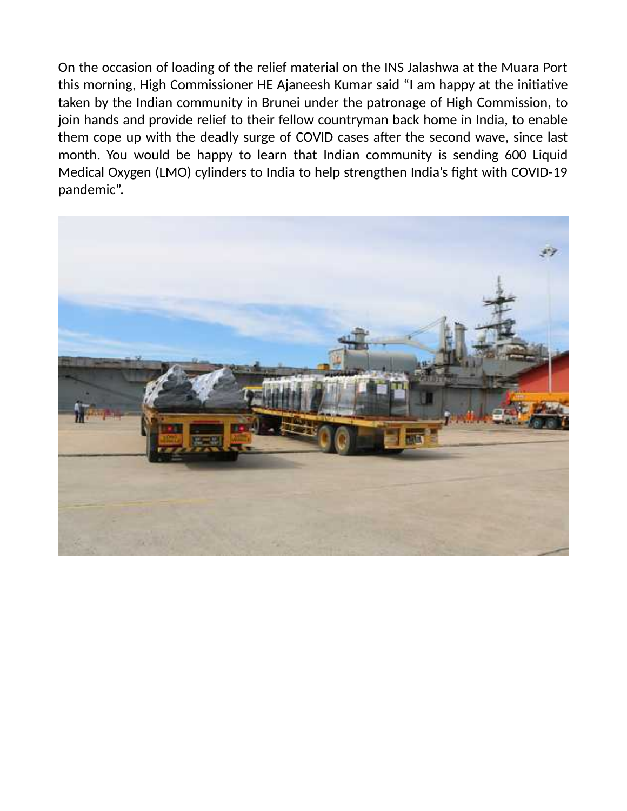On the occasion of loading of the relief material on the INS Jalashwa at the Muara Port this morning, High Commissioner HE Ajaneesh Kumar said "I am happy at the initiative taken by the Indian community in Brunei under the patronage of High Commission, to join hands and provide relief to their fellow countryman back home in India, to enable them cope up with the deadly surge of COVID cases after the second wave, since last month. You would be happy to learn that Indian community is sending 600 Liquid Medical Oxygen (LMO) cylinders to India to help strengthen India's fight with COVID-19 pandemic".

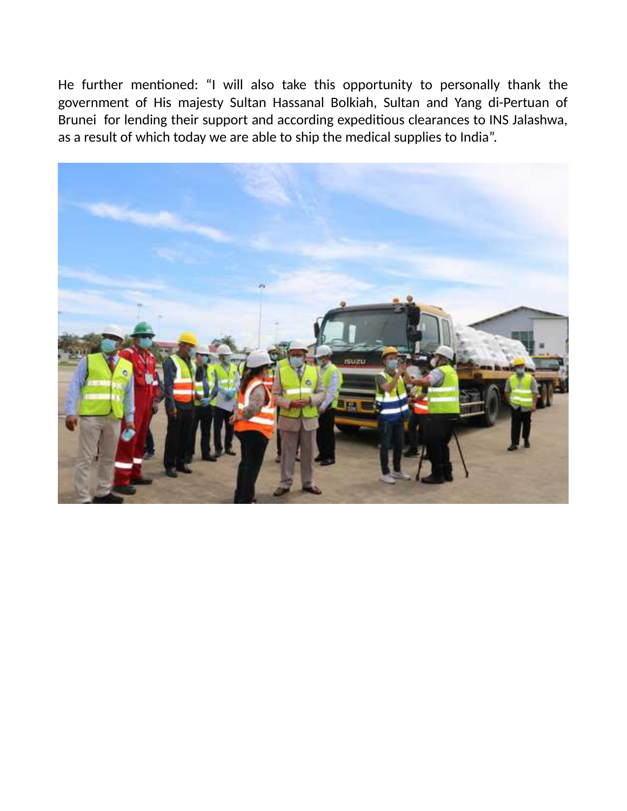He further mentioned: "I will also take this opportunity to personally thank the government of His majesty Sultan Hassanal Bolkiah, Sultan and Yang di-Pertuan of Brunei for lending their support and according expeditious clearances to INS Jalashwa, as a result of which today we are able to ship the medical supplies to India".